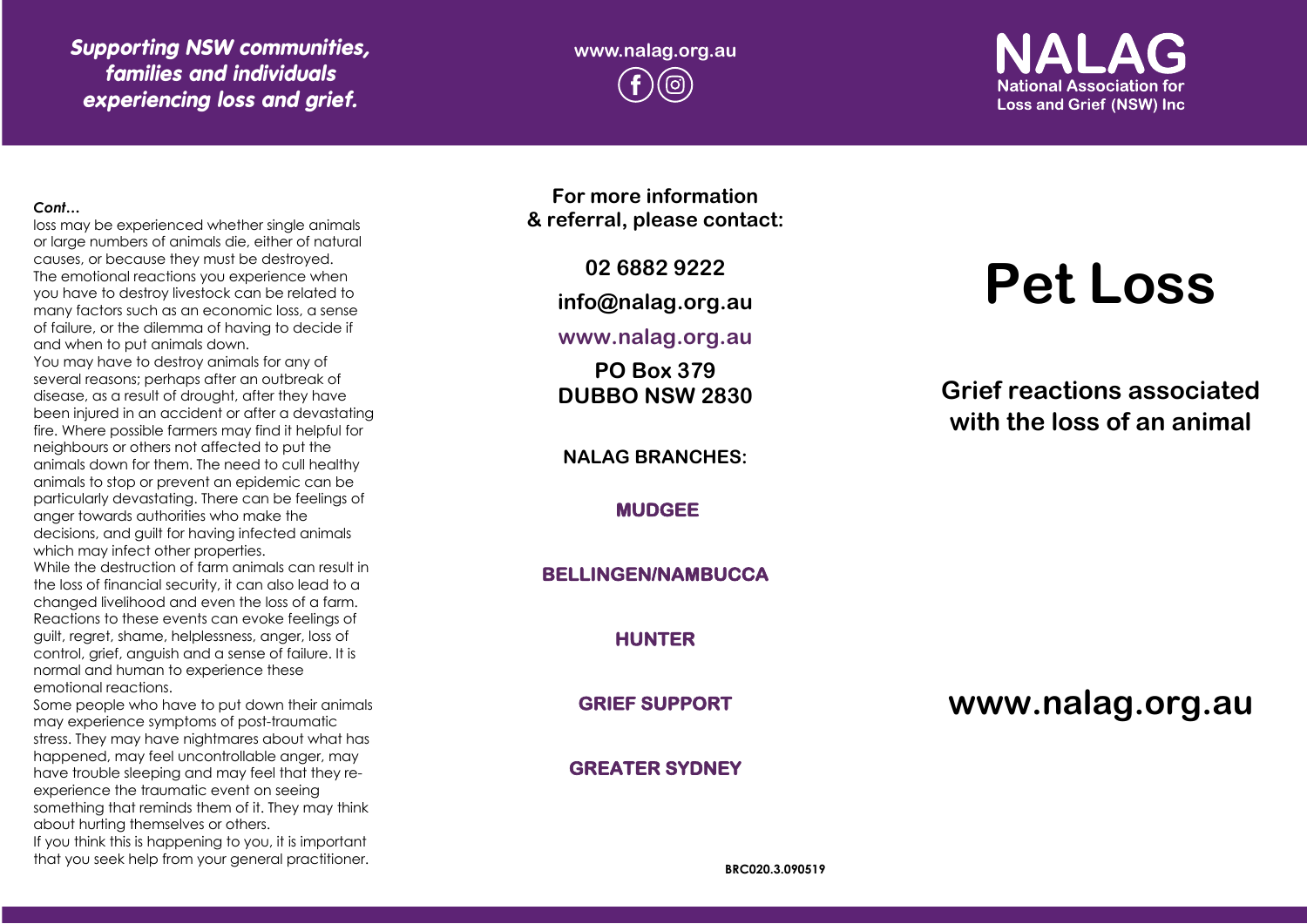*Supporting NSW communities, families and individuals experiencing loss and grief.*

**www.nalag.org.au**

**National Association for Loss and Grief (NSW) Inc.** 

#### *Cont…*

loss may be experienced whether single animals or large numbers of animals die, either of natural causes, or because they must be destroyed. The emotional reactions you experience when you have to destroy livestock can be related to many factors such as an economic loss, a sense of failure, or the dilemma of having to decide if and when to put animals down.

You may have to destroy animals for any of several reasons; perhaps after an outbreak of disease, as a result of drought, after they have been injured in an accident or after a devastating fire. Where possible farmers may find it helpful for neighbours or others not affected to put the animals down for them. The need to cull healthy animals to stop or prevent an epidemic can be particularly devastating. There can be feelings of anger towards authorities who make the decisions, and guilt for having infected animals which may infect other properties.

While the destruction of farm animals can result in the loss of financial security, it can also lead to a changed livelihood and even the loss of a farm. Reactions to these events can evoke feelings of guilt, regret, shame, helplessness, anger, loss of control, grief, anguish and a sense of failure. It is normal and human to experience these emotional reactions.

Some people who have to put down their animals may experience symptoms of post -traumatic stress. They may have nightmares about what has happened, may feel uncontrollable anger, may have trouble sleeping and may feel that they re experience the traumatic event on seeing something that reminds them of it. They may think about hurting themselves or others. If you think this is happening to you, it is important

that you seek help from your general practitioner.

**For more information & referral, please contact:**

**02 6882 9222**

**info@nalag.org.au**

**www.nalag.org.au**

**PO Box 379 DUBBO NSW 2830**

**NALAG BRANCHES:**

**MUDGEE** 

**BELLINGEN/NAMBUCCA** 

**HUNTER** 

**GRIEF SUPPORT** 

**GREATER SYDNEY** 

# **Pet Loss**

**Grief reactions associated with the loss of an animal**

**www.nalag.org.au**